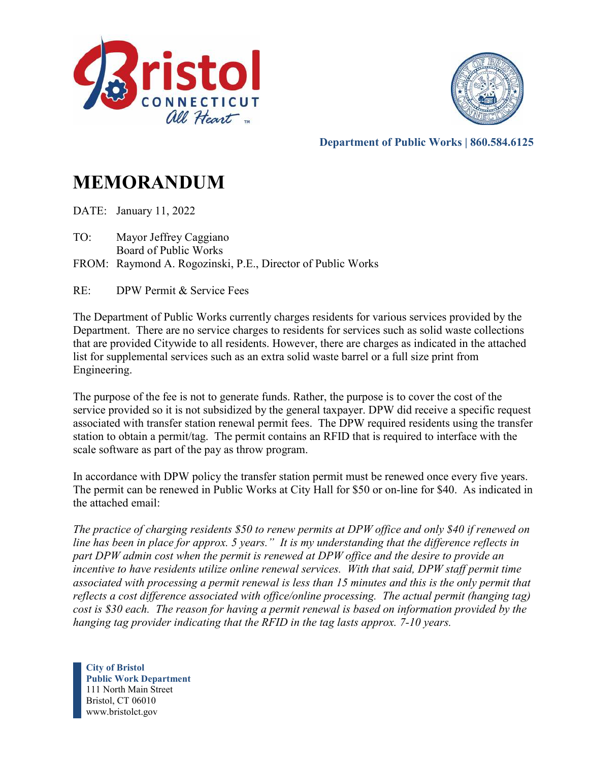



**Department of Public Works | 860.584.6125** 

# **MEMORANDUM**

DATE: January 11, 2022

- TO: Mayor Jeffrey Caggiano Board of Public Works
- FROM: Raymond A. Rogozinski, P.E., Director of Public Works

RE: DPW Permit & Service Fees

The Department of Public Works currently charges residents for various services provided by the Department. There are no service charges to residents for services such as solid waste collections that are provided Citywide to all residents. However, there are charges as indicated in the attached list for supplemental services such as an extra solid waste barrel or a full size print from Engineering.

The purpose of the fee is not to generate funds. Rather, the purpose is to cover the cost of the service provided so it is not subsidized by the general taxpayer. DPW did receive a specific request associated with transfer station renewal permit fees. The DPW required residents using the transfer station to obtain a permit/tag. The permit contains an RFID that is required to interface with the scale software as part of the pay as throw program.

In accordance with DPW policy the transfer station permit must be renewed once every five years. The permit can be renewed in Public Works at City Hall for \$50 or on-line for \$40. As indicated in the attached email:

*The practice of charging residents \$50 to renew permits at DPW office and only \$40 if renewed on line has been in place for approx. 5 years." It is my understanding that the difference reflects in part DPW admin cost when the permit is renewed at DPW office and the desire to provide an incentive to have residents utilize online renewal services. With that said, DPW staff permit time associated with processing a permit renewal is less than 15 minutes and this is the only permit that reflects a cost difference associated with office/online processing. The actual permit (hanging tag) cost is \$30 each. The reason for having a permit renewal is based on information provided by the hanging tag provider indicating that the RFID in the tag lasts approx. 7-10 years.* 

**City of Bristol Public Work Department** 111 North Main Street Bristol, CT 06010 www.bristolct.gov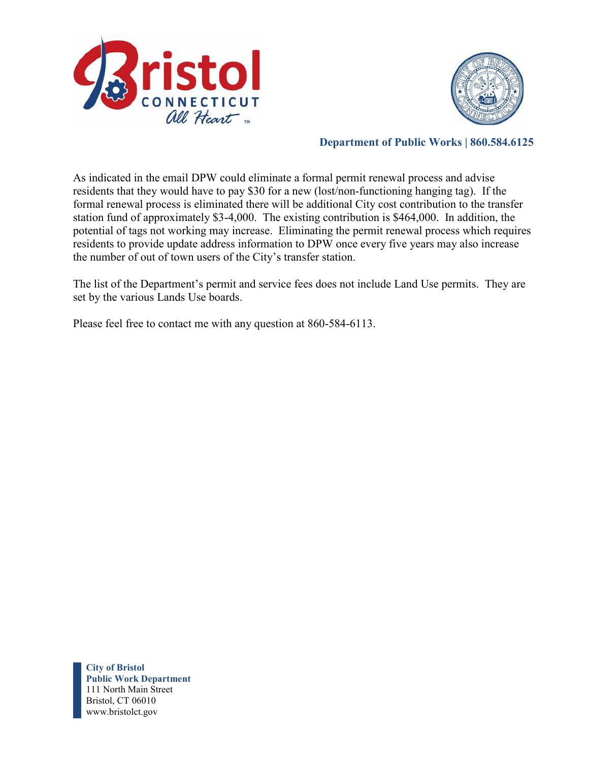



### **Department of Public Works | 860.584.6125**

As indicated in the email DPW could eliminate a formal permit renewal process and advise residents that they would have to pay \$30 for a new (lost/non-functioning hanging tag). If the formal renewal process is eliminated there will be additional City cost contribution to the transfer station fund of approximately \$3-4,000. The existing contribution is \$464,000. In addition, the potential of tags not working may increase. Eliminating the permit renewal process which requires residents to provide update address information to DPW once every five years may also increase the number of out of town users of the City's transfer station.

The list of the Department's permit and service fees does not include Land Use permits. They are set by the various Lands Use boards.

Please feel free to contact me with any question at 860-584-6113.

**City of Bristol Public Work Department** 111 North Main Street Bristol, CT 06010 www.bristolct.gov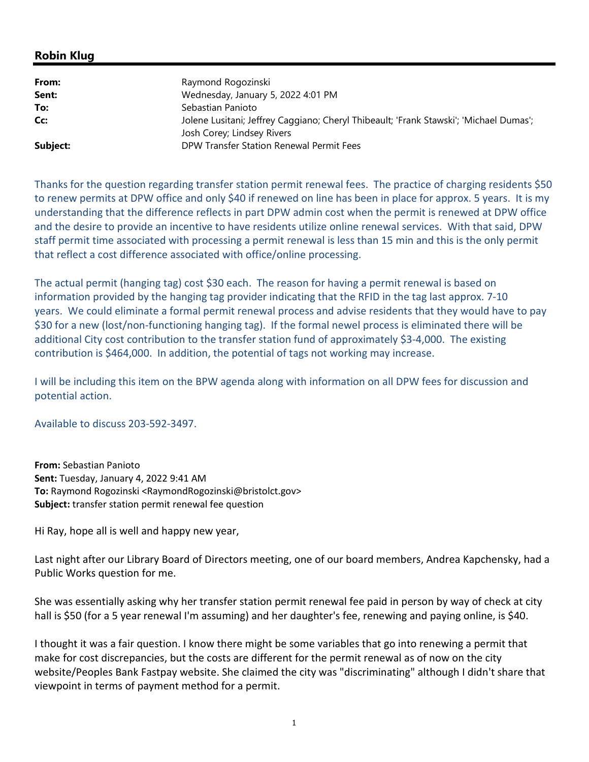## **Robin Klug**

| From:    | Raymond Rogozinski                                                                                                   |
|----------|----------------------------------------------------------------------------------------------------------------------|
| Sent:    | Wednesday, January 5, 2022 4:01 PM                                                                                   |
| To:      | Sebastian Panioto                                                                                                    |
| Cc:      | Jolene Lusitani; Jeffrey Caggiano; Cheryl Thibeault; 'Frank Stawski'; 'Michael Dumas';<br>Josh Corey; Lindsey Rivers |
| Subject: | DPW Transfer Station Renewal Permit Fees                                                                             |

Thanks for the question regarding transfer station permit renewal fees. The practice of charging residents \$50 to renew permits at DPW office and only \$40 if renewed on line has been in place for approx. 5 years. It is my understanding that the difference reflects in part DPW admin cost when the permit is renewed at DPW office and the desire to provide an incentive to have residents utilize online renewal services. With that said, DPW staff permit time associated with processing a permit renewal is less than 15 min and this is the only permit that reflect a cost difference associated with office/online processing.

The actual permit (hanging tag) cost \$30 each. The reason for having a permit renewal is based on information provided by the hanging tag provider indicating that the RFID in the tag last approx. 7-10 years. We could eliminate a formal permit renewal process and advise residents that they would have to pay \$30 for a new (lost/non-functioning hanging tag). If the formal newel process is eliminated there will be additional City cost contribution to the transfer station fund of approximately \$3-4,000. The existing contribution is \$464,000. In addition, the potential of tags not working may increase.

I will be including this item on the BPW agenda along with information on all DPW fees for discussion and potential action.

Available to discuss 203-592-3497.

**From:** Sebastian Panioto **Sent:** Tuesday, January 4, 2022 9:41 AM **To:** Raymond Rogozinski <RaymondRogozinski@bristolct.gov> **Subject:** transfer station permit renewal fee question

Hi Ray, hope all is well and happy new year,

Last night after our Library Board of Directors meeting, one of our board members, Andrea Kapchensky, had a Public Works question for me.

She was essentially asking why her transfer station permit renewal fee paid in person by way of check at city hall is \$50 (for a 5 year renewal I'm assuming) and her daughter's fee, renewing and paying online, is \$40.

I thought it was a fair question. I know there might be some variables that go into renewing a permit that make for cost discrepancies, but the costs are different for the permit renewal as of now on the city website/Peoples Bank Fastpay website. She claimed the city was "discriminating" although I didn't share that viewpoint in terms of payment method for a permit.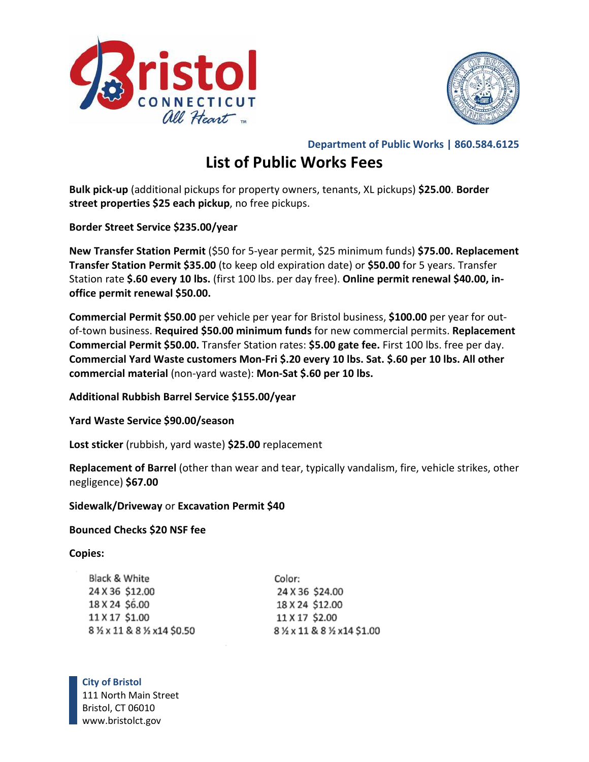



**Department of Public Works | 860.584.6125** 

# **List of Public Works Fees**

**Bulk pick-up** (additional pickups for property owners, tenants, XL pickups) **\$25.00**. **Border street properties \$25 each pickup**, no free pickups.

**Border Street Service \$235.00/year** 

**New Transfer Station Permit** (\$50 for 5-year permit, \$25 minimum funds) **\$75.00. Replacement Transfer Station Permit \$35.00** (to keep old expiration date) or **\$50.00** for 5 years. Transfer Station rate **\$.60 every 10 lbs.** (first 100 lbs. per day free). **Online permit renewal \$40.00, inoffice permit renewal \$50.00.** 

**Commercial Permit \$50**.**00** per vehicle per year for Bristol business, **\$100.00** per year for outof-town business. **Required \$50.00 minimum funds** for new commercial permits. **Replacement Commercial Permit \$50.00.** Transfer Station rates: **\$5.00 gate fee.** First 100 lbs. free per day. **Commercial Yard Waste customers Mon-Fri \$.20 every 10 lbs. Sat. \$.60 per 10 lbs. All other commercial material** (non-yard waste): **Mon-Sat \$.60 per 10 lbs.** 

**Additional Rubbish Barrel Service \$155.00/year** 

**Yard Waste Service \$90.00/season** 

**Lost sticker** (rubbish, yard waste) **\$25.00** replacement

**Replacement of Barrel** (other than wear and tear, typically vandalism, fire, vehicle strikes, other negligence) **\$67.00** 

**Sidewalk/Driveway** or **Excavation Permit \$40** 

### **Bounced Checks \$20 NSF fee**

### **Copies:**

| Black & White             | Color:                      |
|---------------------------|-----------------------------|
| 24 X 36 \$12.00           | 24 X 36 \$24.00             |
| 18 X 24 \$6.00            | 18 X 24 \$12.00             |
| 11 X 17 \$1.00            | 11 X 17 \$2.00              |
| 8 ½ x 11 & 8 ½ x14 \$0.50 | 8 % x 11 & 8 % x 14 \$ 1.00 |

**City of Bristol** 111 North Main Street Bristol, CT 06010 www.bristolct.gov